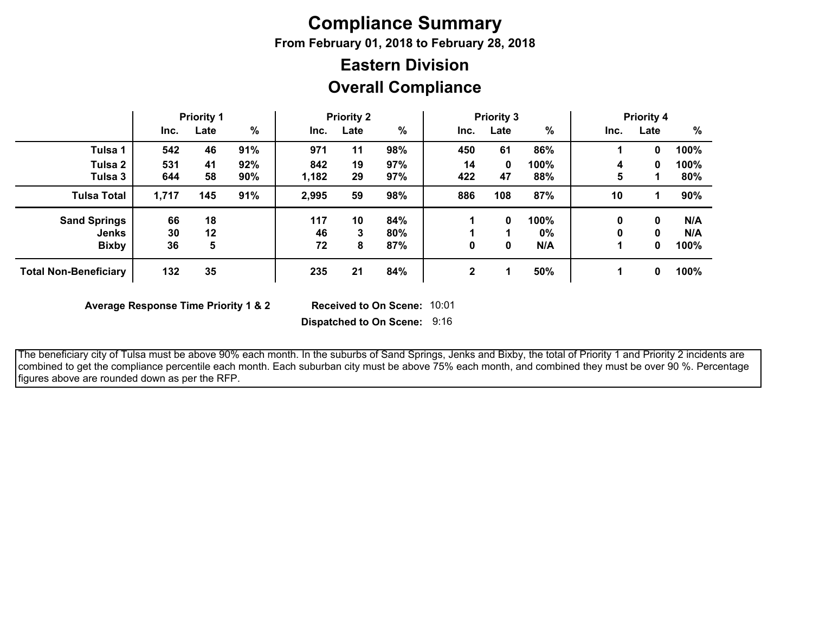# **Compliance Summary**

**From February 01, 2018 to February 28, 2018**

## **Overall Compliance Eastern Division**

|                              | <b>Priority 1</b> |      |     | <b>Priority 2</b> |      |      | <b>Priority 3</b> |      |       | <b>Priority 4</b> |      |      |
|------------------------------|-------------------|------|-----|-------------------|------|------|-------------------|------|-------|-------------------|------|------|
|                              | Inc.              | Late | %   | Inc.              | Late | $\%$ | Inc.              | Late | $\%$  | Inc.              | Late | $\%$ |
| Tulsa 1                      | 542               | 46   | 91% | 971               | 11   | 98%  | 450               | 61   | 86%   |                   | 0    | 100% |
| Tulsa 2                      | 531               | 41   | 92% | 842               | 19   | 97%  | 14                | 0    | 100%  | 4                 | 0    | 100% |
| Tulsa 3                      | 644               | 58   | 90% | 1,182             | 29   | 97%  | 422               | 47   | 88%   | 5                 |      | 80%  |
| <b>Tulsa Total</b>           | 1,717             | 145  | 91% | 2,995             | 59   | 98%  | 886               | 108  | 87%   | 10                |      | 90%  |
| <b>Sand Springs</b>          | 66                | 18   |     | 117               | 10   | 84%  |                   | 0    | 100%  | 0                 | 0    | N/A  |
| <b>Jenks</b>                 | 30                | 12   |     | 46                | 3    | 80%  |                   |      | $0\%$ | 0                 | 0    | N/A  |
| <b>Bixby</b>                 | 36                | 5    |     | 72                | 8    | 87%  | 0                 | 0    | N/A   |                   | 0    | 100% |
| <b>Total Non-Beneficiary</b> | 132               | 35   |     | 235               | 21   | 84%  | $\mathbf 2$       |      | 50%   |                   | 0    | 100% |

**Average Response Time Priority 1 & 2** 

Received to On Scene: 10:01

**Dispatched to On Scene:** 9:16

 The beneficiary city of Tulsa must be above 90% each month. In the suburbs of Sand Springs, Jenks and Bixby, the total of Priority 1 and Priority 2 incidents are combined to get the compliance percentile each month. Each suburban city must be above 75% each month, and combined they must be over 90 %. Percentage figures above are rounded down as per the RFP.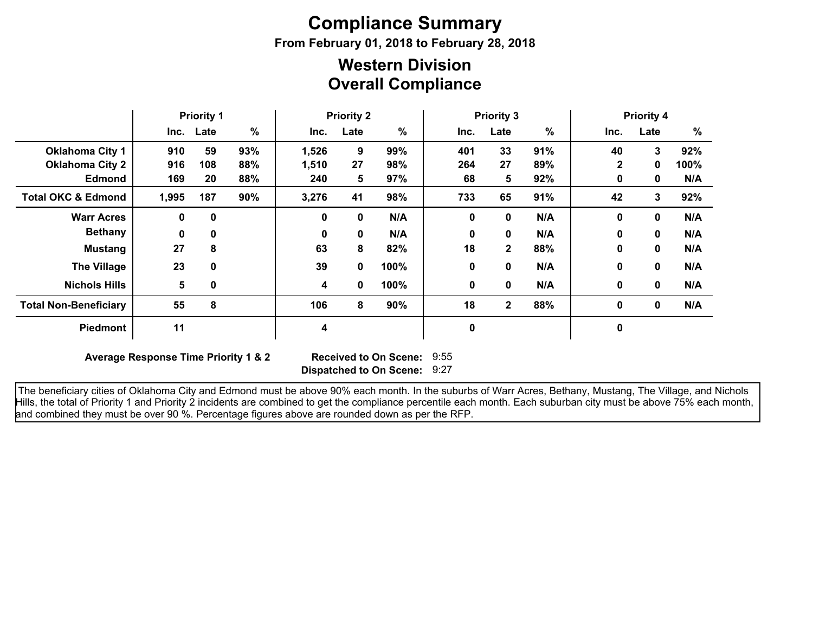# **Compliance Summary**

**From February 01, 2018 to February 28, 2018**

### **Overall Compliance Western Division**

|                               | <b>Priority 1</b> |             | <b>Priority 2</b> |              | <b>Priority 3</b> |      |      |              | <b>Priority 4</b> |              |      |      |
|-------------------------------|-------------------|-------------|-------------------|--------------|-------------------|------|------|--------------|-------------------|--------------|------|------|
|                               |                   | Inc. Late   | $\%$              | Inc.         | Late              | $\%$ | Inc. | Late         | %                 | Inc.         | Late | %    |
| <b>Oklahoma City 1</b>        | 910               | 59          | 93%               | 1,526        | 9                 | 99%  | 401  | 33           | 91%               | 40           | 3    | 92%  |
| <b>Oklahoma City 2</b>        | 916               | 108         | 88%               | 1,510        | 27                | 98%  | 264  | 27           | 89%               | $\mathbf{2}$ | 0    | 100% |
| <b>Edmond</b>                 | 169               | 20          | 88%               | 240          | 5                 | 97%  | 68   | 5            | 92%               | 0            | 0    | N/A  |
| <b>Total OKC &amp; Edmond</b> | 1,995             | 187         | 90%               | 3,276        | 41                | 98%  | 733  | 65           | 91%               | 42           | 3    | 92%  |
| <b>Warr Acres</b>             | $\mathbf{0}$      | $\mathbf 0$ |                   | 0            | 0                 | N/A  | 0    | 0            | N/A               | $\mathbf{0}$ | 0    | N/A  |
| <b>Bethany</b>                | $\mathbf{0}$      | 0           |                   | $\mathbf{0}$ | $\mathbf{0}$      | N/A  | 0    | 0            | N/A               | $\bf{0}$     | 0    | N/A  |
| <b>Mustang</b>                | 27                | 8           |                   | 63           | 8                 | 82%  | 18   | $\mathbf{2}$ | 88%               | $\bf{0}$     | 0    | N/A  |
| <b>The Village</b>            | 23                | $\mathbf 0$ |                   | 39           | 0                 | 100% | 0    | 0            | N/A               | $\bf{0}$     | 0    | N/A  |
| <b>Nichols Hills</b>          | 5                 | $\mathbf 0$ |                   | 4            | 0                 | 100% | 0    | 0            | N/A               | 0            | 0    | N/A  |
| <b>Total Non-Beneficiary</b>  | 55                | 8           |                   | 106          | 8                 | 90%  | 18   | $\mathbf{2}$ | 88%               | $\mathbf 0$  | 0    | N/A  |
| <b>Piedmont</b>               | 11                |             |                   | 4            |                   |      | 0    |              |                   | $\mathbf 0$  |      |      |

**Average Response Time Priority 1 & 2** 

**Dispatched to On Scene:** 9:27 Received to On Scene: 9:55

 The beneficiary cities of Oklahoma City and Edmond must be above 90% each month. In the suburbs of Warr Acres, Bethany, Mustang, The Village, and Nichols Hills, the total of Priority 1 and Priority 2 incidents are combined to get the compliance percentile each month. Each suburban city must be above 75% each month, and combined they must be over 90 %. Percentage figures above are rounded down as per the RFP.